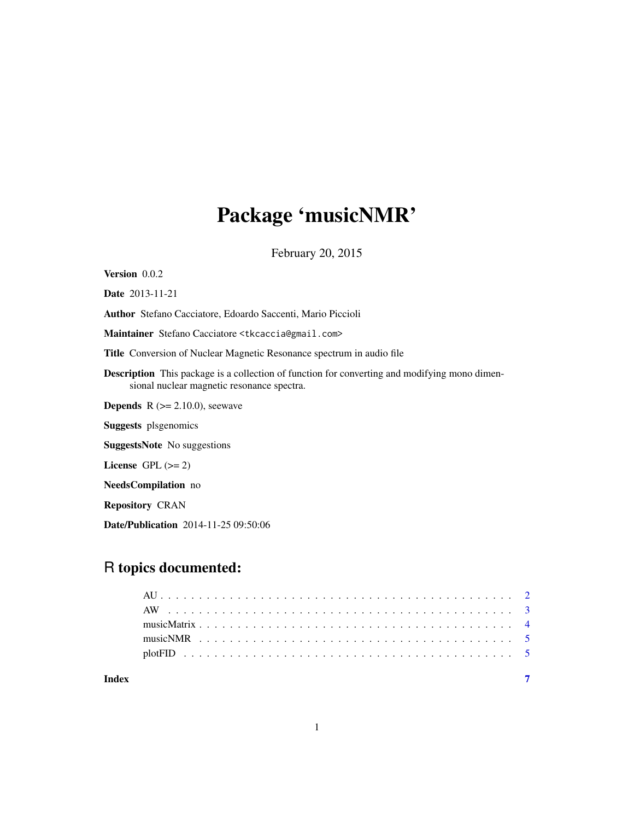## Package 'musicNMR'

February 20, 2015

<span id="page-0-0"></span>Version 0.0.2 Date 2013-11-21 Author Stefano Cacciatore, Edoardo Saccenti, Mario Piccioli Maintainer Stefano Cacciatore <tkcaccia@gmail.com> Title Conversion of Nuclear Magnetic Resonance spectrum in audio file Description This package is a collection of function for converting and modifying mono dimensional nuclear magnetic resonance spectra. **Depends**  $R$  ( $>= 2.10.0$ ), seewave Suggests plsgenomics SuggestsNote No suggestions License GPL  $(>= 2)$ NeedsCompilation no Repository CRAN Date/Publication 2014-11-25 09:50:06

## R topics documented:

| Index |  |  |  |  |  |  |  |  |  |  |  |  |  |  |  |  |  |  |  |  |
|-------|--|--|--|--|--|--|--|--|--|--|--|--|--|--|--|--|--|--|--|--|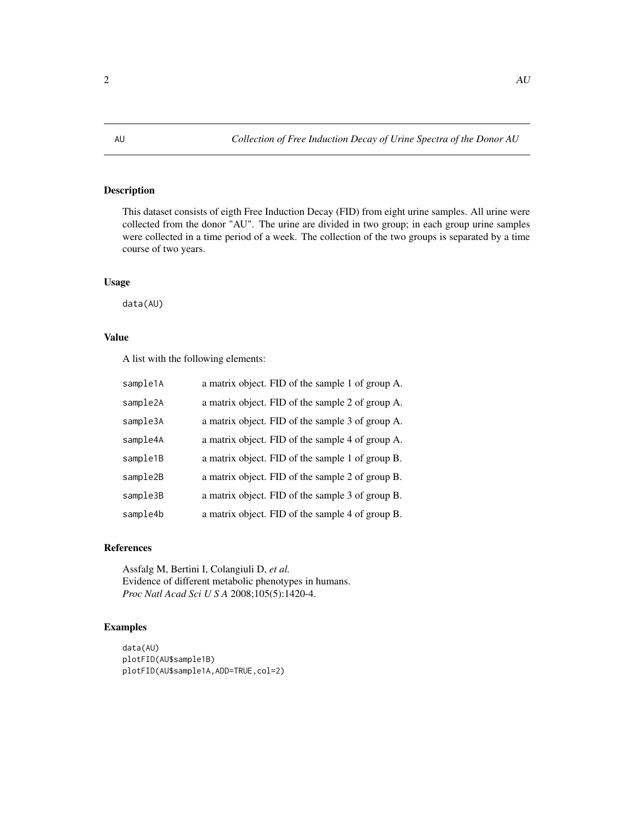<span id="page-1-0"></span>This dataset consists of eigth Free Induction Decay (FID) from eight urine samples. All urine were collected from the donor "AU". The urine are divided in two group; in each group urine samples were collected in a time period of a week. The collection of the two groups is separated by a time course of two years.

#### Usage

data(AU)

### Value

A list with the following elements:

| sample1A | a matrix object. FID of the sample 1 of group A. |
|----------|--------------------------------------------------|
| sample2A | a matrix object. FID of the sample 2 of group A. |
| sample3A | a matrix object. FID of the sample 3 of group A. |
| sample4A | a matrix object. FID of the sample 4 of group A. |
| sample1B | a matrix object. FID of the sample 1 of group B. |
| sample2B | a matrix object. FID of the sample 2 of group B. |
| sample3B | a matrix object. FID of the sample 3 of group B. |
| sample4b | a matrix object. FID of the sample 4 of group B. |

#### References

Assfalg M, Bertini I, Colangiuli D, *et al.* Evidence of different metabolic phenotypes in humans. *Proc Natl Acad Sci U S A* 2008;105(5):1420-4.

```
data(AU)
plotFID(AU$sample1B)
plotFID(AU$sample1A,ADD=TRUE,col=2)
```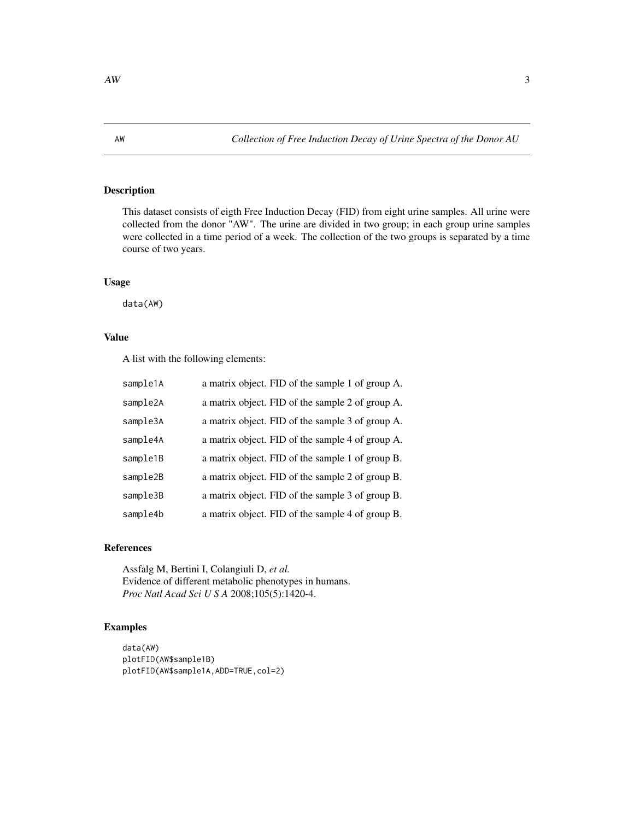<span id="page-2-0"></span>This dataset consists of eigth Free Induction Decay (FID) from eight urine samples. All urine were collected from the donor "AW". The urine are divided in two group; in each group urine samples were collected in a time period of a week. The collection of the two groups is separated by a time course of two years.

#### Usage

data(AW)

### Value

A list with the following elements:

| sample1A | a matrix object. FID of the sample 1 of group A. |
|----------|--------------------------------------------------|
| sample2A | a matrix object. FID of the sample 2 of group A. |
| sample3A | a matrix object. FID of the sample 3 of group A. |
| sample4A | a matrix object. FID of the sample 4 of group A. |
| sample1B | a matrix object. FID of the sample 1 of group B. |
| sample2B | a matrix object. FID of the sample 2 of group B. |
| sample3B | a matrix object. FID of the sample 3 of group B. |
| sample4b | a matrix object. FID of the sample 4 of group B. |

#### References

Assfalg M, Bertini I, Colangiuli D, *et al.* Evidence of different metabolic phenotypes in humans. *Proc Natl Acad Sci U S A* 2008;105(5):1420-4.

```
data(AW)
plotFID(AW$sample1B)
plotFID(AW$sample1A,ADD=TRUE,col=2)
```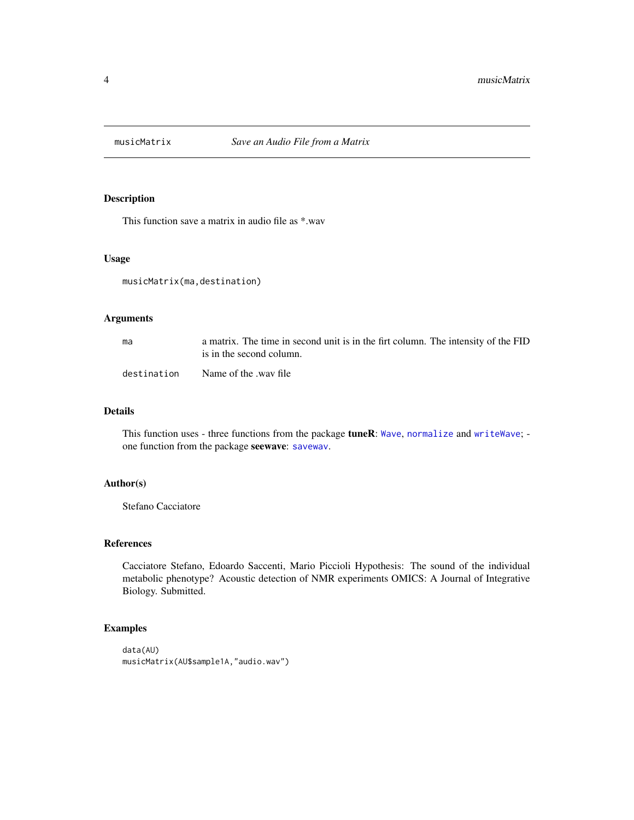<span id="page-3-0"></span>

This function save a matrix in audio file as \*.wav

#### Usage

musicMatrix(ma,destination)

#### Arguments

| ma          | a matrix. The time in second unit is in the firt column. The intensity of the FID<br>is in the second column. |
|-------------|---------------------------------------------------------------------------------------------------------------|
| destination | Name of the .way file                                                                                         |

#### Details

This function uses - three functions from the package **tuneR**: [Wave](#page-0-0), [normalize](#page-0-0) and [writeWave](#page-0-0); one function from the package seewave: [savewav](#page-0-0).

#### Author(s)

Stefano Cacciatore

#### References

Cacciatore Stefano, Edoardo Saccenti, Mario Piccioli Hypothesis: The sound of the individual metabolic phenotype? Acoustic detection of NMR experiments OMICS: A Journal of Integrative Biology. Submitted.

```
data(AU)
musicMatrix(AU$sample1A,"audio.wav")
```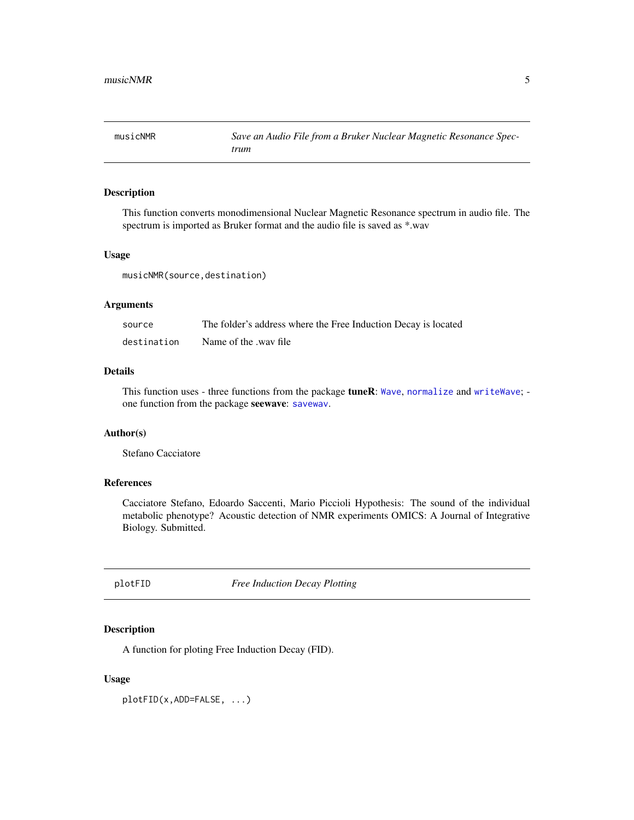<span id="page-4-0"></span>

This function converts monodimensional Nuclear Magnetic Resonance spectrum in audio file. The spectrum is imported as Bruker format and the audio file is saved as \*.wav

#### Usage

musicNMR(source,destination)

#### Arguments

| source      | The folder's address where the Free Induction Decay is located |
|-------------|----------------------------------------------------------------|
| destination | Name of the .way file                                          |

#### Details

This function uses - three functions from the package tuneR: [Wave](#page-0-0), [normalize](#page-0-0) and [writeWave](#page-0-0); one function from the package seewave: [savewav](#page-0-0).

#### Author(s)

Stefano Cacciatore

#### References

Cacciatore Stefano, Edoardo Saccenti, Mario Piccioli Hypothesis: The sound of the individual metabolic phenotype? Acoustic detection of NMR experiments OMICS: A Journal of Integrative Biology. Submitted.

plotFID *Free Induction Decay Plotting*

#### Description

A function for ploting Free Induction Decay (FID).

#### Usage

plotFID(x,ADD=FALSE, ...)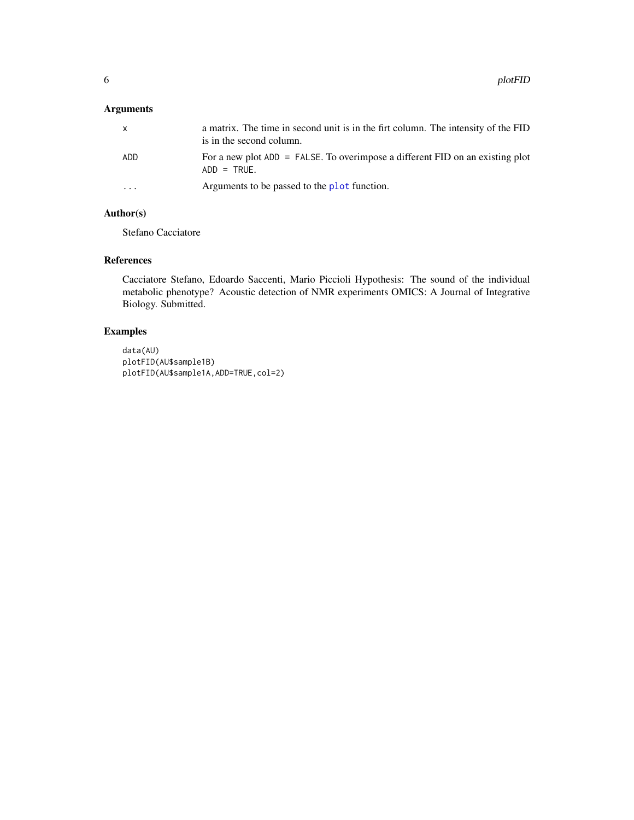### <span id="page-5-0"></span>Arguments

| $\mathsf{x}$            | a matrix. The time in second unit is in the firt column. The intensity of the FID<br>is in the second column. |
|-------------------------|---------------------------------------------------------------------------------------------------------------|
| ADD.                    | For a new plot $ADD = FALSE$ . To overimpose a different FID on an existing plot<br>$ADD = TRUE.$             |
| $\cdot$ $\cdot$ $\cdot$ | Arguments to be passed to the plot function.                                                                  |

#### Author(s)

Stefano Cacciatore

#### References

Cacciatore Stefano, Edoardo Saccenti, Mario Piccioli Hypothesis: The sound of the individual metabolic phenotype? Acoustic detection of NMR experiments OMICS: A Journal of Integrative Biology. Submitted.

```
data(AU)
plotFID(AU$sample1B)
plotFID(AU$sample1A,ADD=TRUE,col=2)
```